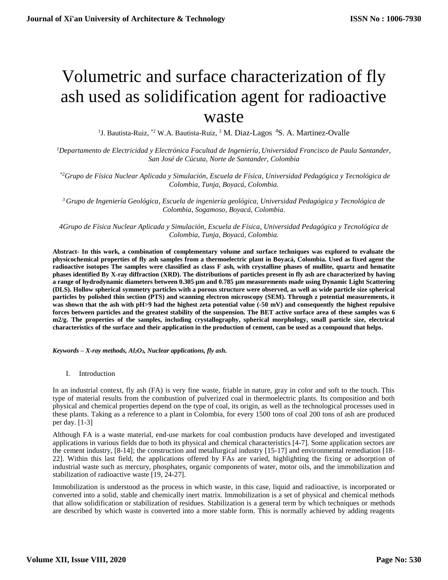# Volumetric and surface characterization of fly ash used as solidification agent for radioactive waste

<sup>1</sup>J. Bautista-Ruiz, \*<sup>2</sup> W.A. Bautista-Ruiz, <sup>3</sup> M. Diaz-Lagos <sup>4</sup>S. A. Martinez-Ovalle

*<sup>1</sup>Departamento de Electricidad y Electrónica Facultad de Ingeniería, Universidad Francisco de Paula Santander, San José de Cúcuta, Norte de Santander, Colombia*

 *\*2Grupo de Física Nuclear Aplicada y Simulación, Escuela de Física, Universidad Pedagógica y Tecnológica de Colombia, Tunja, Boyacá, Colombia.*

*<sup>3</sup> Grupo de Ingeniería Geológica, Escuela de ingeniería geológica, Universidad Pedagógica y Tecnológica de Colombia, Sogamoso, Boyacá, Colombia.*

*4Grupo de Física Nuclear Aplicada y Simulación, Escuela de Física, Universidad Pedagógica y Tecnológica de Colombia, Tunja, Boyacá, Colombia.*

**Abstract- In this work, a combination of complementary volume and surface techniques was explored to evaluate the physicochemical properties of fly ash samples from a thermoelectric plant in Boyacá, Colombia. Used as fixed agent the radioactive isotopes The samples were classified as class F ash, with crystalline phases of mullite, quartz and hematite phases identified By X-ray diffraction (XRD). The distributions of particles present in fly ash are characterized by having a range of hydrodynamic diameters between 0.305 µm and 0.785 µm measurements made using Dynamic Light Scattering (DLS). Hollow spherical symmetry particles with a porous structure were observed, as well as wide particle size spherical particles by polished thin section (PTS) and scanning electron microscopy (SEM). Through z potential measurements, it was shown that the ash with pH>9 had the highest zeta potential value (-50 mV) and consequently the highest repulsive forces between particles and the greatest stability of the suspension. The BET active surface area of these samples was 6 m2/g. The properties of the samples, including crystallography, spherical morphology, small particle size, electrical characteristics of the surface and their application in the production of cement, can be used as a compound that helps.**

*Keywords – X-ray methods, Al2O3, Nuclear applications, fly ash.*

I. Introduction

In an industrial context, fly ash (FA) is very fine waste, friable in nature, gray in color and soft to the touch. This type of material results from the combustion of pulverized coal in thermoelectric plants. Its composition and both physical and chemical properties depend on the type of coal, its origin, as well as the technological processes used in these plants. Taking as a reference to a plant in Colombia, for every 1500 tons of coal 200 tons of ash are produced per day. [1-3]

Although FA is a waste material, end-use markets for coal combustion products have developed and investigated applications in various fields due to both its physical and chemical characteristics [4-7]. Some application sectors are the cement industry, [8-14]; the construction and metallurgical industry [15-17] and environmental remediation [18- 22]. Within this last field, the applications offered by FAs are varied, highlighting the fixing or adsorption of industrial waste such as mercury, phosphates, organic components of water, motor oils, and the immobilization and stabilization of radioactive waste [19, 24-27].

Immobilization is understood as the process in which waste, in this case, liquid and radioactive, is incorporated or converted into a solid, stable and chemically inert matrix. Immobilization is a set of physical and chemical methods that allow solidification or stabilization of residues. Stabilization is a general term by which techniques or methods are described by which waste is converted into a more stable form. This is normally achieved by adding reagents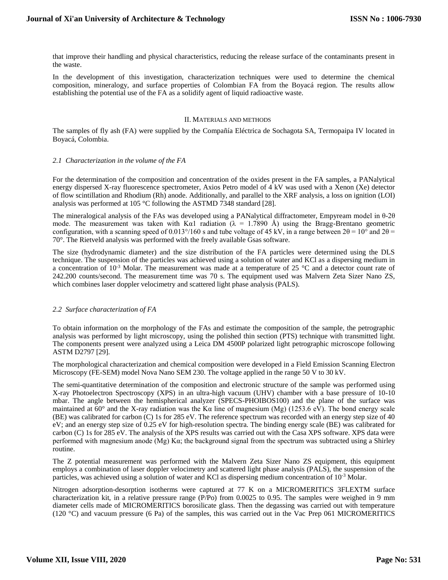that improve their handling and physical characteristics, reducing the release surface of the contaminants present in the waste.

In the development of this investigation, characterization techniques were used to determine the chemical composition, mineralogy, and surface properties of Colombian FA from the Boyacá region. The results allow establishing the potential use of the FA as a solidify agent of liquid radioactive waste.

### II. MATERIALS AND METHODS

The samples of fly ash (FA) were supplied by the Compañía Eléctrica de Sochagota SA, Termopaipa IV located in Boyacá, Colombia.

#### *2.1 Characterization in the volume of the FA*

For the determination of the composition and concentration of the oxides present in the FA samples, a PANalytical energy dispersed X-ray fluorescence spectrometer, Axios Petro model of 4 kV was used with a Xenon (Xe) detector of flow scintillation and Rhodium (Rh) anode. Additionally, and parallel to the XRF analysis, a loss on ignition (LOI) analysis was performed at 105 °C following the ASTMD 7348 standard [28].

The mineralogical analysis of the FAs was developed using a PANalytical diffractometer, Empyream model in θ-2θ mode. The measurement was taken with Kα1 radiation ( $\lambda = 1.7890$  Å) using the Bragg-Brentano geometric configuration, with a scanning speed of 0.013°/160 s and tube voltage of 45 kV, in a range between  $2\theta = 10^{\circ}$  and  $2\theta =$ 70°. The Rietveld analysis was performed with the freely available Gsas software.

The size (hydrodynamic diameter) and the size distribution of the FA particles were determined using the DLS technique. The suspension of the particles was achieved using a solution of water and KCl as a dispersing medium in a concentration of  $10^{-3}$  Molar. The measurement was made at a temperature of 25 °C and a detector count rate of 242.200 counts/second. The measurement time was 70 s. The equipment used was Malvern Zeta Sizer Nano ZS, which combines laser doppler velocimetry and scattered light phase analysis (PALS).

## *2.2 Surface characterization of FA*

To obtain information on the morphology of the FAs and estimate the composition of the sample, the petrographic analysis was performed by light microscopy, using the polished thin section (PTS) technique with transmitted light. The components present were analyzed using a Leica DM 4500P polarized light petrographic microscope following ASTM D2797 [29].

The morphological characterization and chemical composition were developed in a Field Emission Scanning Electron Microscopy (FE-SEM) model Nova Nano SEM 230. The voltage applied in the range 50 V to 30 kV.

The semi-quantitative determination of the composition and electronic structure of the sample was performed using X-ray Photoelectron Spectroscopy (XPS) in an ultra-high vacuum (UHV) chamber with a base pressure of 10-10 mbar. The angle between the hemispherical analyzer (SPECS-PHOIBOS100) and the plane of the surface was maintained at  $60^{\circ}$  and the X-ray radiation was the K $\alpha$  line of magnesium (Mg) (1253.6 eV). The bond energy scale (BE) was calibrated for carbon (C) 1s for 285 eV. The reference spectrum was recorded with an energy step size of 40 eV; and an energy step size of 0.25 eV for high-resolution spectra. The binding energy scale (BE) was calibrated for carbon (C) 1s for 285 eV. The analysis of the XPS results was carried out with the Casa XPS software. XPS data were performed with magnesium anode (Mg) Kα; the background signal from the spectrum was subtracted using a Shirley routine.

The Z potential measurement was performed with the Malvern Zeta Sizer Nano ZS equipment, this equipment employs a combination of laser doppler velocimetry and scattered light phase analysis (PALS), the suspension of the particles, was achieved using a solution of water and KCl as dispersing medium concentration of  $10^{-3}$  Molar.

Nitrogen adsorption-desorption isotherms were captured at 77 K on a MICROMERITICS 3FLEXTM surface characterization kit, in a relative pressure range (P/Po) from 0.0025 to 0.95. The samples were weighed in 9 mm diameter cells made of MICROMERITICS borosilicate glass. Then the degassing was carried out with temperature (120 °C) and vacuum pressure (6 Pa) of the samples, this was carried out in the Vac Prep 061 MICROMERITICS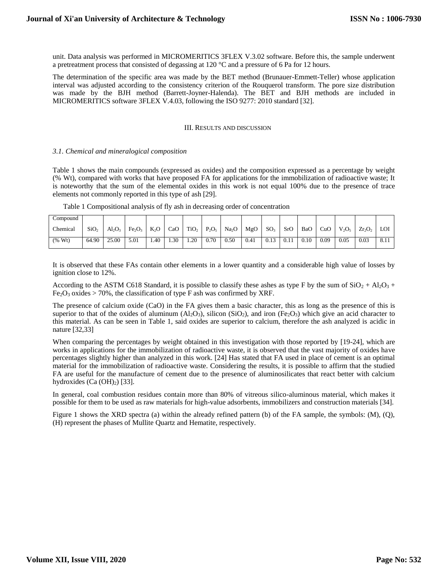unit. Data analysis was performed in MICROMERITICS 3FLEX V.3.02 software. Before this, the sample underwent a pretreatment process that consisted of degassing at 120 °C and a pressure of 6 Pa for 12 hours.

The determination of the specific area was made by the BET method (Brunauer-Emmett-Teller) whose application interval was adjusted according to the consistency criterion of the Rouquerol transform. The pore size distribution was made by the BJH method (Barrett-Joyner-Halenda). The BET and BJH methods are included in MICROMERITICS software 3FLEX V.4.03, following the ISO 9277: 2010 standard [32].

#### III. RESULTS AND DISCUSSION

#### *3.1. Chemical and mineralogical composition*

Table 1 shows the main compounds (expressed as oxides) and the composition expressed as a percentage by weight (% Wt), compared with works that have proposed FA for applications for the immobilization of radioactive waste; It is noteworthy that the sum of the elemental oxides in this work is not equal 100% due to the presence of trace elements not commonly reported in this type of ash [29].

| Compound |                  |       |                                |        |     |                  |          |                   |      |                 |      |      |      |          |           |      |
|----------|------------------|-------|--------------------------------|--------|-----|------------------|----------|-------------------|------|-----------------|------|------|------|----------|-----------|------|
| Chemical | SiO <sub>2</sub> | Al2O3 | Fe <sub>2</sub> O <sub>3</sub> | $K_2O$ | CaO | TiO <sub>2</sub> | $P_2O_5$ | Na <sub>2</sub> O | MgO  | SO <sub>3</sub> | SrO  | BaO  | CuC  | $V_2O_5$ | $Zr_2O_2$ | LOI  |
| (% Wt)   | 64.90            | 25.00 | 5.01                           | 4.40   | .30 | 1.20             | 0.70     | 0.50              | 0.41 | 0.13            | 0.11 | 0.10 | 0.09 | 0.05     | 0.03      | 8.11 |

Table 1 Compositional analysis of fly ash in decreasing order of concentration

It is observed that these FAs contain other elements in a lower quantity and a considerable high value of losses by ignition close to 12%.

According to the ASTM C618 Standard, it is possible to classify these ashes as type F by the sum of  $SiO_2 + Al_2O_3 +$  $Fe<sub>2</sub>O<sub>3</sub>$  oxides > 70%, the classification of type F ash was confirmed by XRF.

The presence of calcium oxide (CaO) in the FA gives them a basic character, this as long as the presence of this is superior to that of the oxides of aluminum  $(A_1_2O_3)$ , silicon  $(SiO_2)$ , and iron  $(Fe_2O_3)$  which give an acid character to this material. As can be seen in Table 1, said oxides are superior to calcium, therefore the ash analyzed is acidic in nature [32,33]

When comparing the percentages by weight obtained in this investigation with those reported by [19-24], which are works in applications for the immobilization of radioactive waste, it is observed that the vast majority of oxides have percentages slightly higher than analyzed in this work. [24] Has stated that FA used in place of cement is an optimal material for the immobilization of radioactive waste. Considering the results, it is possible to affirm that the studied FA are useful for the manufacture of cement due to the presence of aluminosilicates that react better with calcium hydroxides  $(Ca (OH)<sub>2</sub>)$  [33].

In general, coal combustion residues contain more than 80% of vitreous silico-aluminous material, which makes it possible for them to be used as raw materials for high-value adsorbents, immobilizers and construction materials [34].

Figure 1 shows the XRD spectra (a) within the already refined pattern (b) of the FA sample, the symbols: (M), (Q), (H) represent the phases of Mullite Quartz and Hematite, respectively.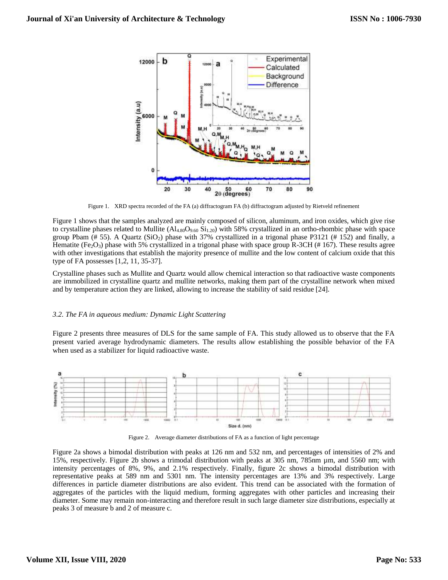

Figure 1. XRD spectra recorded of the FA (a) diffractogram FA (b) diffractogram adjusted by Rietveld refinement

Figure 1 shows that the samples analyzed are mainly composed of silicon, aluminum, and iron oxides, which give rise to crystalline phases related to Mullite ( $AI_{4.80}O_{9.60}$  Si<sub>1.20</sub>) with 58% crystallized in an ortho-rhombic phase with space group Pbam  $(\# 55)$ . A Quartz (SiO<sub>2</sub>) phase with 37% crystallized in a trigonal phase P3121 (# 152) and finally, a Hematite (Fe<sub>2</sub>O<sub>3</sub>) phase with 5% crystallized in a trigonal phase with space group R-3CH (#167). These results agree with other investigations that establish the majority presence of mullite and the low content of calcium oxide that this type of FA possesses [1,2, 11, 35-37].

Crystalline phases such as Mullite and Quartz would allow chemical interaction so that radioactive waste components are immobilized in crystalline quartz and mullite networks, making them part of the crystalline network when mixed and by temperature action they are linked, allowing to increase the stability of said residue [24].

#### *3.2. The FA in aqueous medium: Dynamic Light Scattering*

Figure 2 presents three measures of DLS for the same sample of FA. This study allowed us to observe that the FA present varied average hydrodynamic diameters. The results allow establishing the possible behavior of the FA when used as a stabilizer for liquid radioactive waste.



Figure 2. Average diameter distributions of FA as a function of light percentage

Figure 2a shows a bimodal distribution with peaks at 126 nm and 532 nm, and percentages of intensities of 2% and 15%, respectively. Figure 2b shows a trimodal distribution with peaks at 305 nm, 785nm µm, and 5560 nm; with intensity percentages of 8%, 9%, and 2.1% respectively. Finally, figure 2c shows a bimodal distribution with representative peaks at 589 nm and 5301 nm. The intensity percentages are 13% and 3% respectively. Large differences in particle diameter distributions are also evident. This trend can be associated with the formation of aggregates of the particles with the liquid medium, forming aggregates with other particles and increasing their diameter. Some may remain non-interacting and therefore result in such large diameter size distributions, especially at peaks 3 of measure b and 2 of measure c.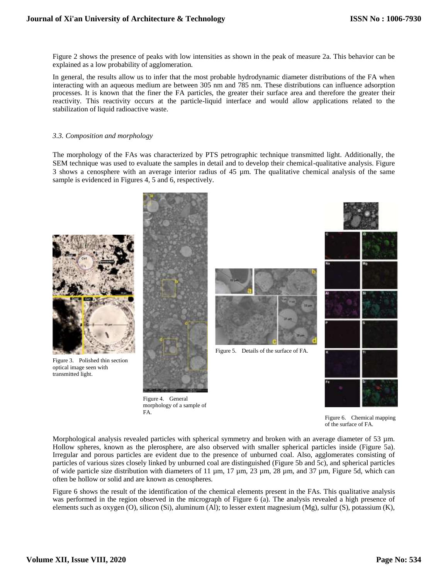Figure 2 shows the presence of peaks with low intensities as shown in the peak of measure 2a. This behavior can be explained as a low probability of agglomeration.

In general, the results allow us to infer that the most probable hydrodynamic diameter distributions of the FA when interacting with an aqueous medium are between 305 nm and 785 nm. These distributions can influence adsorption processes. It is known that the finer the FA particles, the greater their surface area and therefore the greater their reactivity. This reactivity occurs at the particle-liquid interface and would allow applications related to the stabilization of liquid radioactive waste.

#### *3.3. Composition and morphology*

The morphology of the FAs was characterized by PTS petrographic technique transmitted light. Additionally, the SEM technique was used to evaluate the samples in detail and to develop their chemical-qualitative analysis. Figure 3 shows a cenosphere with an average interior radius of 45 µm. The qualitative chemical analysis of the same sample is evidenced in Figures 4, 5 and 6, respectively.



Figure 6. Chemical mapping of the surface of FA.

Morphological analysis revealed particles with spherical symmetry and broken with an average diameter of 53  $\mu$ m. Hollow spheres, known as the plerosphere, are also observed with smaller spherical particles inside (Figure 5a). Irregular and porous particles are evident due to the presence of unburned coal. Also, agglomerates consisting of particles of various sizes closely linked by unburned coal are distinguished (Figure 5b and 5c), and spherical particles of wide particle size distribution with diameters of 11  $\mu$ m, 17  $\mu$ m, 23  $\mu$ m, 28  $\mu$ m, and 37  $\mu$ m, Figure 5d, which can often be hollow or solid and are known as cenospheres.

Figure 6 shows the result of the identification of the chemical elements present in the FAs. This qualitative analysis was performed in the region observed in the micrograph of Figure 6 (a). The analysis revealed a high presence of elements such as oxygen (O), silicon (Si), aluminum (Al); to lesser extent magnesium (Mg), sulfur (S), potassium (K),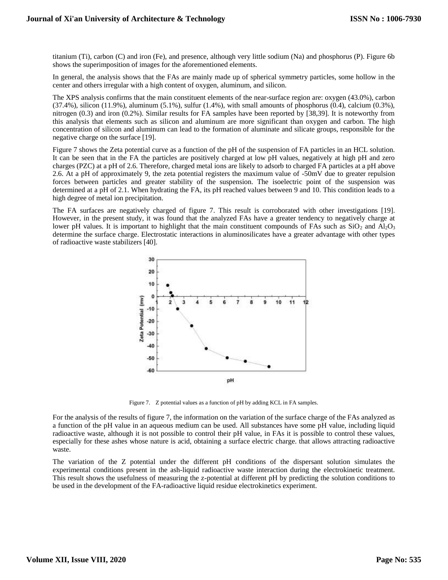titanium (Ti), carbon (C) and iron (Fe), and presence, although very little sodium (Na) and phosphorus (P). Figure 6b shows the superimposition of images for the aforementioned elements.

In general, the analysis shows that the FAs are mainly made up of spherical symmetry particles, some hollow in the center and others irregular with a high content of oxygen, aluminum, and silicon.

The XPS analysis confirms that the main constituent elements of the near-surface region are: oxygen (43.0%), carbon  $(37.4\%)$ , silicon  $(11.9\%)$ , aluminum  $(5.1\%)$ , sulfur  $(1.4\%)$ , with small amounts of phosphorus  $(0.4)$ , calcium  $(0.3\%)$ , nitrogen (0.3) and iron (0.2%). Similar results for FA samples have been reported by [38,39]. It is noteworthy from this analysis that elements such as silicon and aluminum are more significant than oxygen and carbon. The high concentration of silicon and aluminum can lead to the formation of aluminate and silicate groups, responsible for the negative charge on the surface [19].

Figure 7 shows the Zeta potential curve as a function of the pH of the suspension of FA particles in an HCL solution. It can be seen that in the FA the particles are positively charged at low pH values, negatively at high pH and zero charges (PZC) at a pH of 2.6. Therefore, charged metal ions are likely to adsorb to charged FA particles at a pH above 2.6. At a pH of approximately 9, the zeta potential registers the maximum value of -50mV due to greater repulsion forces between particles and greater stability of the suspension. The isoelectric point of the suspension was determined at a pH of 2.1. When hydrating the FA, its pH reached values between 9 and 10. This condition leads to a high degree of metal ion precipitation.

The FA surfaces are negatively charged of figure 7. This result is corroborated with other investigations [19]. However, in the present study, it was found that the analyzed FAs have a greater tendency to negatively charge at lower pH values. It is important to highlight that the main constituent compounds of FAs such as  $SiO_2$  and  $Al_2O_3$ determine the surface charge. Electrostatic interactions in aluminosilicates have a greater advantage with other types of radioactive waste stabilizers [40].



Figure 7. Z potential values as a function of pH by adding KCL in FA samples.

For the analysis of the results of figure 7, the information on the variation of the surface charge of the FAs analyzed as a function of the pH value in an aqueous medium can be used. All substances have some pH value, including liquid radioactive waste, although it is not possible to control their pH value, in FAs it is possible to control these values, especially for these ashes whose nature is acid, obtaining a surface electric charge. that allows attracting radioactive waste.

The variation of the Z potential under the different pH conditions of the dispersant solution simulates the experimental conditions present in the ash-liquid radioactive waste interaction during the electrokinetic treatment. This result shows the usefulness of measuring the z-potential at different pH by predicting the solution conditions to be used in the development of the FA-radioactive liquid residue electrokinetics experiment.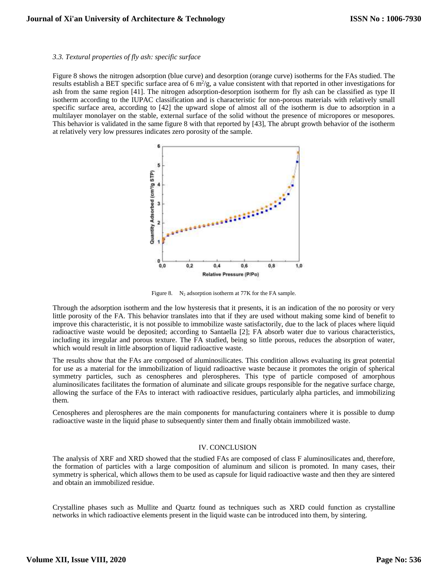#### *3.3. Textural properties of fly ash: specific surface*

Figure 8 shows the nitrogen adsorption (blue curve) and desorption (orange curve) isotherms for the FAs studied. The results establish a BET specific surface area of 6  $m^2/g$ , a value consistent with that reported in other investigations for ash from the same region [41]. The nitrogen adsorption-desorption isotherm for fly ash can be classified as type II isotherm according to the IUPAC classification and is characteristic for non-porous materials with relatively small specific surface area, according to [42] the upward slope of almost all of the isotherm is due to adsorption in a multilayer monolayer on the stable, external surface of the solid without the presence of micropores or mesopores. This behavior is validated in the same figure 8 with that reported by [43], The abrupt growth behavior of the isotherm at relatively very low pressures indicates zero porosity of the sample.



Figure 8.  $N_2$  adsorption isotherm at 77K for the FA sample.

Through the adsorption isotherm and the low hysteresis that it presents, it is an indication of the no porosity or very little porosity of the FA. This behavior translates into that if they are used without making some kind of benefit to improve this characteristic, it is not possible to immobilize waste satisfactorily, due to the lack of places where liquid radioactive waste would be deposited; according to Santaella [2]; FA absorb water due to various characteristics, including its irregular and porous texture. The FA studied, being so little porous, reduces the absorption of water, which would result in little absorption of liquid radioactive waste.

The results show that the FAs are composed of aluminosilicates. This condition allows evaluating its great potential for use as a material for the immobilization of liquid radioactive waste because it promotes the origin of spherical symmetry particles, such as cenospheres and plerospheres. This type of particle composed of amorphous aluminosilicates facilitates the formation of aluminate and silicate groups responsible for the negative surface charge, allowing the surface of the FAs to interact with radioactive residues, particularly alpha particles, and immobilizing them.

Cenospheres and plerospheres are the main components for manufacturing containers where it is possible to dump radioactive waste in the liquid phase to subsequently sinter them and finally obtain immobilized waste.

#### IV. CONCLUSION

The analysis of XRF and XRD showed that the studied FAs are composed of class F aluminosilicates and, therefore, the formation of particles with a large composition of aluminum and silicon is promoted. In many cases, their symmetry is spherical, which allows them to be used as capsule for liquid radioactive waste and then they are sintered and obtain an immobilized residue.

Crystalline phases such as Mullite and Quartz found as techniques such as XRD could function as crystalline networks in which radioactive elements present in the liquid waste can be introduced into them, by sintering.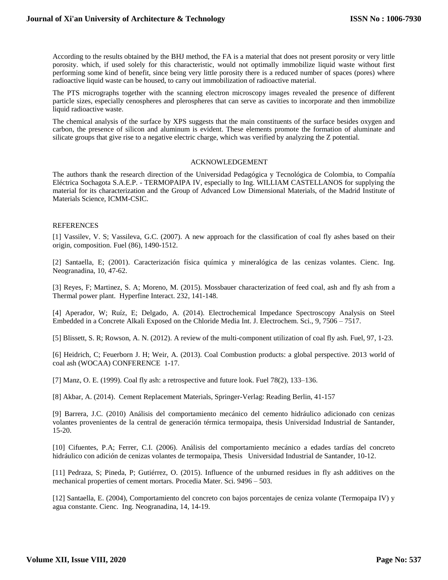According to the results obtained by the BHJ method, the FA is a material that does not present porosity or very little porosity. which, if used solely for this characteristic, would not optimally immobilize liquid waste without first performing some kind of benefit, since being very little porosity there is a reduced number of spaces (pores) where radioactive liquid waste can be housed, to carry out immobilization of radioactive material.

The PTS micrographs together with the scanning electron microscopy images revealed the presence of different particle sizes, especially cenospheres and plerospheres that can serve as cavities to incorporate and then immobilize liquid radioactive waste.

The chemical analysis of the surface by XPS suggests that the main constituents of the surface besides oxygen and carbon, the presence of silicon and aluminum is evident. These elements promote the formation of aluminate and silicate groups that give rise to a negative electric charge, which was verified by analyzing the Z potential.

#### ACKNOWLEDGEMENT

The authors thank the research direction of the Universidad Pedagógica y Tecnológica de Colombia, to Compañía Eléctrica Sochagota S.A.E.P. - TERMOPAIPA IV, especially to Ing. WILLIAM CASTELLANOS for supplying the material for its characterization and the Group of Advanced Low Dimensional Materials, of the Madrid Institute of Materials Science, ICMM-CSIC.

#### REFERENCES

[1] Vassilev, V. S; Vassileva, G.C. (2007). A new approach for the classification of coal fly ashes based on their origin, composition. Fuel (86), 1490-1512.

[2] Santaella, E; (2001). Caracterización física química y mineralógica de las cenizas volantes. Cienc. Ing. Neogranadina, 10, 47-62.

[3] Reyes, F; Martinez, S. A; Moreno, M. (2015). Mossbauer characterization of feed coal, ash and fly ash from a Thermal power plant. Hyperfine Interact. 232, 141-148.

[4] Aperador, W; Ruíz, E; Delgado, A. (2014). Electrochemical Impedance Spectroscopy Analysis on Steel Embedded in a Concrete Alkali Exposed on the Chloride Media Int. J. Electrochem. Sci., 9, 7506 – 7517.

[5] Blissett, S. R; Rowson, A. N. (2012). A review of the multi-component utilization of coal fly ash. Fuel, 97, 1-23.

[6] Heidrich, C; Feuerborn J. H; Weir, A. (2013). Coal Combustion products: a global perspective. 2013 world of coal ash (WOCAA) CONFERENCE 1-17.

[7] Manz, O. E. (1999). Coal fly ash: a retrospective and future look. Fuel 78(2), 133–136.

[8] Akbar, A. (2014). Cement Replacement Materials, Springer-Verlag: Reading Berlin, 41-157

[9] Barrera, J.C. (2010) Análisis del comportamiento mecánico del cemento hidráulico adicionado con cenizas volantes provenientes de la central de generación térmica termopaipa, thesis Universidad Industrial de Santander, 15-20.

[10] Cifuentes, P.A; Ferrer, C.I. (2006). Análisis del comportamiento mecánico a edades tardías del concreto hidráulico con adición de cenizas volantes de termopaipa, Thesis Universidad Industrial de Santander, 10-12.

[11] Pedraza, S; Pineda, P; Gutiérrez, O. (2015). Influence of the unburned residues in fly ash additives on the mechanical properties of cement mortars. Procedia Mater. Sci. 9496 – 503.

[12] Santaella, E. (2004), Comportamiento del concreto con bajos porcentajes de ceniza volante (Termopaipa IV) y agua constante. Cienc. Ing. Neogranadina, 14, 14-19.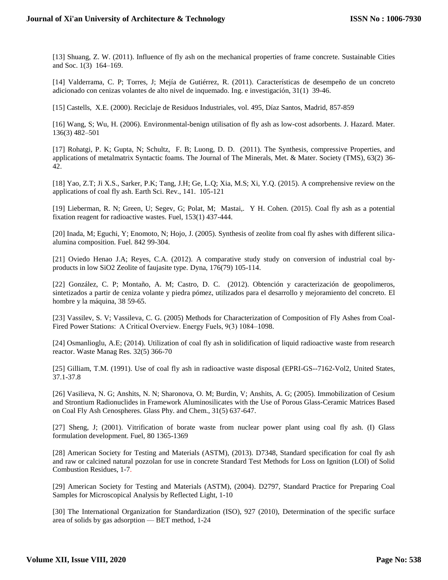[13] Shuang, Z. W. (2011). Influence of fly ash on the mechanical properties of frame concrete. Sustainable Cities and Soc. 1(3) 164–169.

[14] Valderrama, C. P; Torres, J; Mejía de Gutiérrez, R. (2011). Características de desempeño de un concreto adicionado con cenizas volantes de alto nivel de inquemado. Ing. e investigación, 31(1) 39-46.

[15] Castells, X.E. (2000). Reciclaje de Residuos Industriales, vol. 495, Díaz Santos, Madrid, 857-859

[16] Wang, S; Wu, H. (2006). Environmental-benign utilisation of fly ash as low-cost adsorbents. J. Hazard. Mater. 136(3) 482–501

[17] Rohatgi, P. K; Gupta, N; Schultz, F. B; Luong, D. D. (2011). The Synthesis, compressive Properties, and applications of metalmatrix Syntactic foams. The Journal of The Minerals, Met. & Mater. Society (TMS), 63(2) 36- 42.

[18] Yao, Z.T; Ji X.S., Sarker, P.K; Tang, J.H; Ge, L.Q; Xia, M.S; Xi, Y.Q. (2015). A comprehensive review on the applications of coal fly ash. Earth Sci. Rev., 141. 105-121

[19] Lieberman, R. N; Green, U; Segev, G; Polat, M; Mastai,. Y H. Cohen. (2015). Coal fly ash as a potential fixation reagent for radioactive wastes. Fuel, 153(1) 437-444.

[20] Inada, M; Eguchi, Y; Enomoto, N; Hojo, J. (2005). Synthesis of zeolite from coal fly ashes with different silicaalumina composition. Fuel. 842 99-304.

[21] Oviedo Henao J.A; Reyes, C.A. (2012). A comparative study study on conversion of industrial coal byproducts in low SiO2 Zeolite of faujasite type. Dyna, 176(79) 105-114.

[22] González, C. P; Montaño, A. M; Castro, D. C. (2012). Obtención y caracterización de geopolimeros, sintetizados a partir de ceniza volante y piedra pómez, utilizados para el desarrollo y mejoramiento del concreto. El hombre y la máquina, 38 59-65.

[23] Vassilev, S. V; Vassileva, C. G. (2005) Methods for Characterization of Composition of Fly Ashes from Coal-Fired Power Stations:  A Critical Overview. Energy Fuels, 9(3) 1084–1098.

[24] Osmanlioglu, A.E; (2014). Utilization of coal fly ash in solidification of liquid radioactive waste from research reactor. Waste Manag Res. 32(5) 366-70

[25] Gilliam, T.M. (1991). Use of coal fly ash in radioactive waste disposal (EPRI-GS--7162-Vol2, United States, 37.1-37.8

[26] Vasilieva, N. G; Anshits, N. N; Sharonova, O. M; Burdin, V; Anshits, A. G; (2005). Immobilization of Cesium and Strontium Radionuclides in Framework Aluminosilicates with the Use of Porous Glass-Ceramic Matrices Based on Coal Fly Ash Cenospheres. Glass Phy. and Chem., 31(5) 637-647.

[27] Sheng, J; (2001). Vitrification of borate waste from nuclear power plant using coal fly ash. (I) Glass formulation development. Fuel, 80 1365-1369

[28] American Society for Testing and Materials (ASTM), (2013). D7348, Standard specification for coal fly ash and raw or calcined natural pozzolan for use in concrete Standard Test Methods for Loss on Ignition (LOI) of Solid Combustion Residues, 1-7.

[29] American Society for Testing and Materials (ASTM), (2004). D2797, Standard Practice for Preparing Coal Samples for Microscopical Analysis by Reflected Light, 1-10

[30] The International Organization for Standardization (ISO), 927 (2010), Determination of the specific surface area of solids by gas adsorption — BET method, 1-24